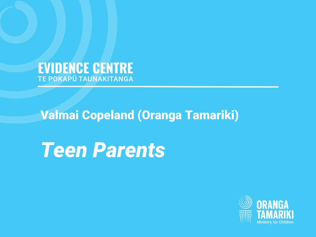**EVIDENCE CENTRE** 

# **Valmai Copeland (Oranga Tamariki)**

*young people with high* 

nts *Teen Parents* 

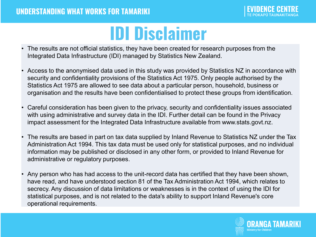### **IDI Disclaimer**

- The results are not official statistics, they have been created for research purposes from the Integrated Data Infrastructure (IDI) managed by Statistics New Zealand.
- Access to the anonymised data used in this study was provided by Statistics NZ in accordance with security and confidentiality provisions of the Statistics Act 1975. Only people authorised by the Statistics Act 1975 are allowed to see data about a particular person, household, business or organisation and the results have been confidentialised to protect these groups from identification.
- Careful consideration has been given to the privacy, security and confidentiality issues associated with using administrative and survey data in the IDI. Further detail can be found in the Privacy impact assessment for the Integrated Data Infrastructure available from www.stats.govt.nz.
- The results are based in part on tax data supplied by Inland Revenue to Statistics NZ under the Tax Administration Act 1994. This tax data must be used only for statistical purposes, and no individual information may be published or disclosed in any other form, or provided to Inland Revenue for administrative or regulatory purposes.
- Any person who has had access to the unit-record data has certified that they have been shown, have read, and have understood section 81 of the Tax Administration Act 1994, which relates to secrecy. Any discussion of data limitations or weaknesses is in the context of using the IDI for statistical purposes, and is not related to the data's ability to support Inland Revenue's core operational requirements.

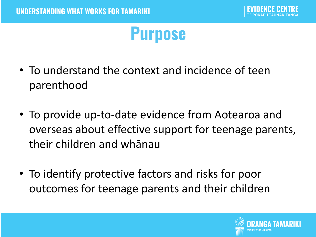### **Purpose**

- To understand the context and incidence of teen parenthood
- To provide up-to-date evidence from Aotearoa and overseas about effective support for teenage parents, their children and whānau
- To identify protective factors and risks for poor outcomes for teenage parents and their children

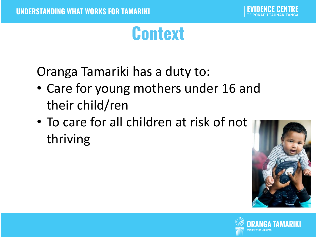### **Context**

Oranga Tamariki has a duty to:

- Care for young mothers under 16 and their child/ren
- To care for all children at risk of not thriving



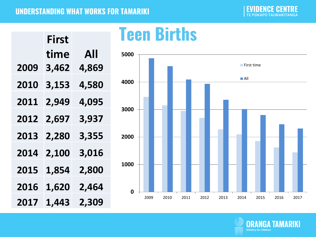#### **UNDERSTANDING WHAT WORKS FOR TAMARIKI**

**TE POKAPŪ TAUNAKITANGA** 

|             | First |       |
|-------------|-------|-------|
|             | time  | All   |
| <b>2009</b> | 3,462 | 4,869 |
| 2010        | 3,153 | 4,580 |
| 2011        | 2,949 | 4,095 |
| <b>2012</b> | 2,697 | 3,937 |
| <b>2013</b> | 2,280 | 3,355 |
| <b>2014</b> | 2,100 | 3,016 |
| 2015        | 1,854 | 2,800 |
| 2016        | 1,620 | 2,464 |
| 2017        | 1,443 | 2,309 |

### **Teen Births**



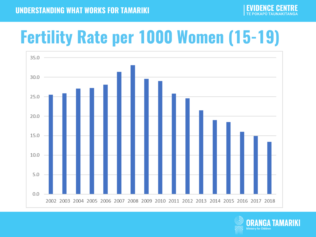## **Fertility Rate per 1000 Women (15-19)**



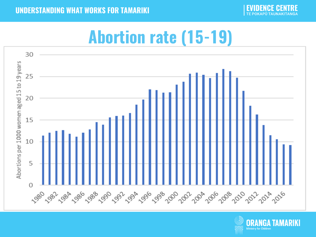**UNDERSTANDING WHAT WORKS FOR TAMARIKI** 

**CENTRE** 

### **Abortion rate (15-19)**



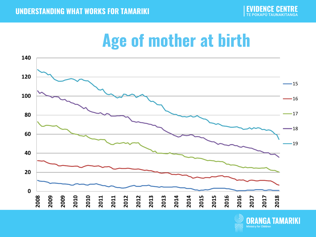

### **Age of mother at birth**



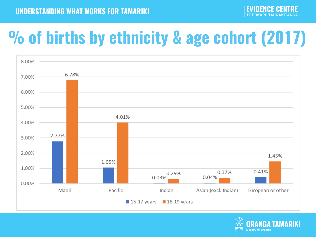## **% of births by ethnicity & age cohort (2017)**



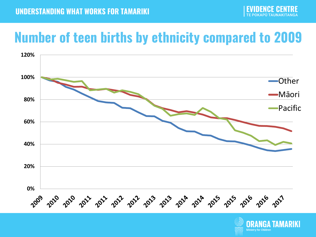### **Number of teen births by ethnicity compared to 2009**



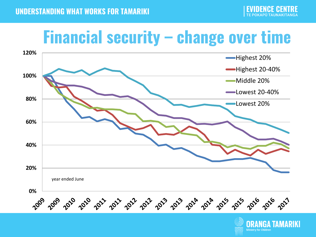### Financial security – change over time



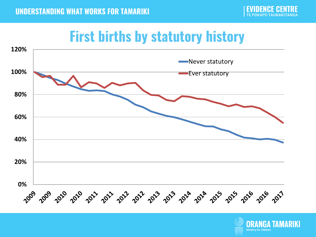### **First births by statutory history**



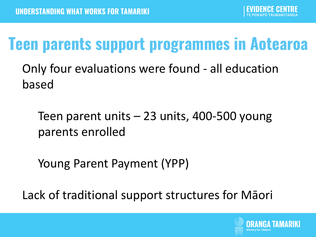### **Teen parents support programmes in Aotearoa**

Only four evaluations were found - all education based

Teen parent units – 23 units, 400-500 young parents enrolled

Young Parent Payment (YPP)

Lack of traditional support structures for Māori

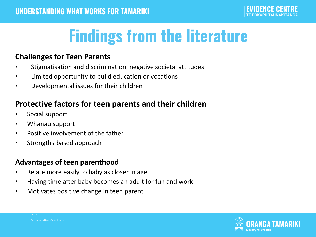## **Findings from the literature**

#### **Challenges for Teen Parents**

- Stigmatisation and discrimination, negative societal attitudes
- Limited opportunity to build education or vocations
- Developmental issues for their children

### **Protective factors for teen parents and their children**

- Social support
- Whānau support
- Positive involvement of the father
- Strengths-based approach

#### **Advantages of teen parenthood**

- Relate more easily to baby as closer in age
- Having time after baby becomes an adult for fun and work
- Motivates positive change in teen parent



• II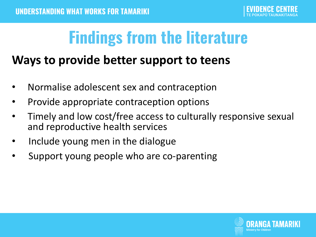### **Findings from the literature**

### **Ways to provide better support to teens**

- Normalise adolescent sex and contraception
- Provide appropriate contraception options
- Timely and low cost/free access to culturally responsive sexual and reproductive health services
- Include young men in the dialogue
- Support young people who are co-parenting